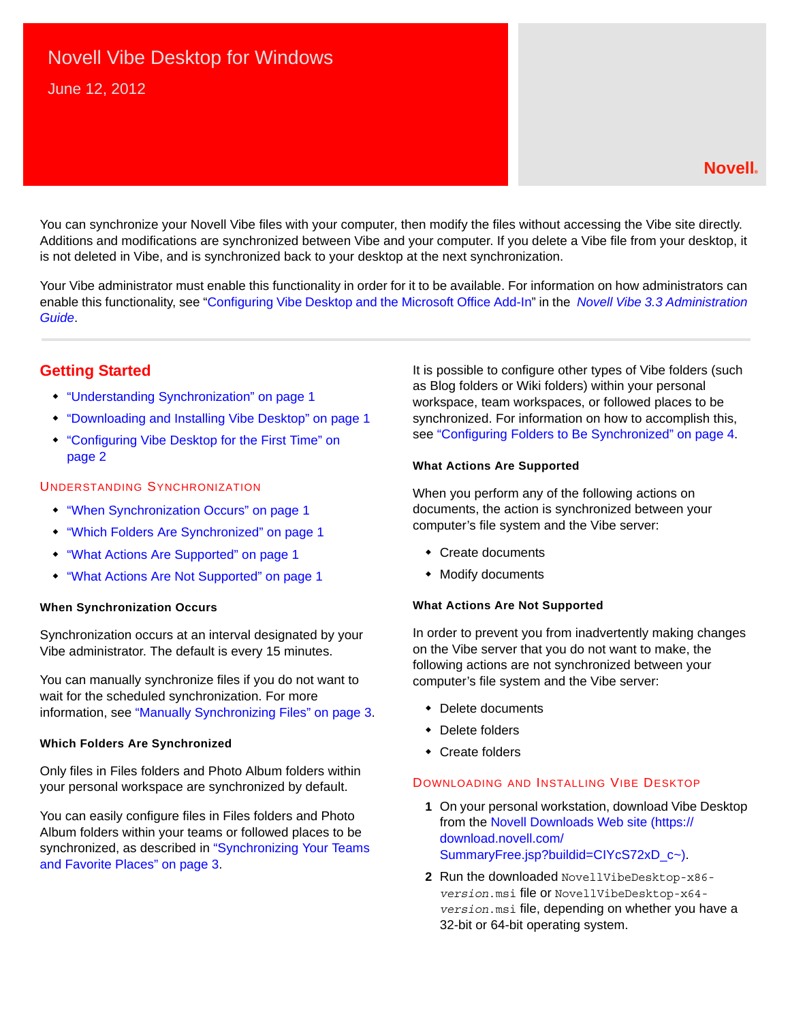# Novell Vibe Desktop for Windows

June 12, 2012

### **Novell®**

You can synchronize your Novell Vibe files with your computer, then modify the files without accessing the Vibe site directly. Additions and modifications are synchronized between Vibe and your computer. If you delete a Vibe file from your desktop, it is not deleted in Vibe, and is synchronized back to your desktop at the next synchronization.

Your Vibe administrator must enable this functionality in order for it to be available. For information on how administrators can enable this functionality, see "Configuring Vibe Desktop and the Microsoft Office Add-In" in the *Novell Vibe 3.3 Administration Guide*.

## **Getting Started**

- ["Understanding Synchronization" on page 1](#page-0-0)
- ["Downloading and Installing Vibe Desktop" on page 1](#page-0-1)
- ["Configuring Vibe Desktop for the First Time" on](#page-1-0)  [page 2](#page-1-0)

#### <span id="page-0-0"></span>UNDERSTANDING SYNCHRONIZATION

- ["When Synchronization Occurs" on page 1](#page-0-2)
- ["Which Folders Are Synchronized" on page 1](#page-0-3)
- ["What Actions Are Supported" on page 1](#page-0-4)
- ["What Actions Are Not Supported" on page 1](#page-0-5)

#### <span id="page-0-2"></span>**When Synchronization Occurs**

Synchronization occurs at an interval designated by your Vibe administrator. The default is every 15 minutes.

You can manually synchronize files if you do not want to wait for the scheduled synchronization. For more information, see ["Manually Synchronizing Files" on page 3](#page-2-0).

#### <span id="page-0-3"></span>**Which Folders Are Synchronized**

Only files in Files folders and Photo Album folders within your personal workspace are synchronized by default.

You can easily configure files in Files folders and Photo Album folders within your teams or followed places to be synchronized, as described in ["Synchronizing Your Teams](#page-2-1)  [and Favorite Places" on page 3.](#page-2-1)

It is possible to configure other types of Vibe folders (such as Blog folders or Wiki folders) within your personal workspace, team workspaces, or followed places to be synchronized. For information on how to accomplish this, see ["Configuring Folders to Be Synchronized" on page 4](#page-3-0).

#### <span id="page-0-4"></span>**What Actions Are Supported**

When you perform any of the following actions on documents, the action is synchronized between your computer's file system and the Vibe server:

- Create documents
- Modify documents

#### <span id="page-0-5"></span>**What Actions Are Not Supported**

In order to prevent you from inadvertently making changes on the Vibe server that you do not want to make, the following actions are not synchronized between your computer's file system and the Vibe server:

- Delete documents
- Delete folders
- Create folders

#### <span id="page-0-1"></span>DOWNLOADING AND INSTALLING VIBE DESKTOP

- **1** On your personal workstation, download Vibe Desktop from the [Novell Downloads Web site](https://download.novell.com/SummaryFree.jsp?buildid=CIYcS72xD_c~) (https:// download.novell.com/ SummaryFree.jsp?buildid=CIYcS72xD\_c~).
- **2** Run the downloaded NovellVibeDesktop-x86 *version*.msi file or NovellVibeDesktop-x64 *version*.msi file, depending on whether you have a 32-bit or 64-bit operating system.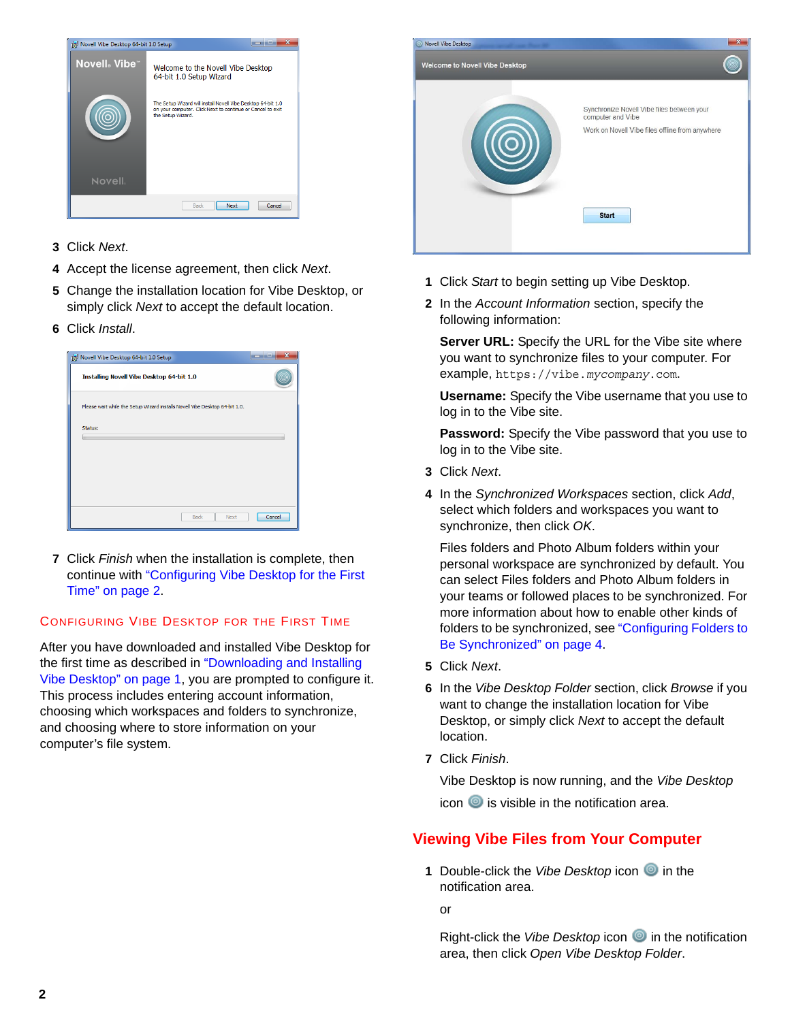

- **3** Click *Next*.
- **4** Accept the license agreement, then click *Next*.
- **5** Change the installation location for Vibe Desktop, or simply click *Next* to accept the default location.
- **6** Click *Install*.

| Novell Vibe Desktop 64-bit 1.0 Setup                                        |        |
|-----------------------------------------------------------------------------|--------|
| Installing Novell Vibe Desktop 64-bit 1.0                                   |        |
| Please wait while the Setup Wizard installs Novell Vibe Desktop 64-bit 1.0. |        |
| Status:                                                                     |        |
|                                                                             |        |
|                                                                             |        |
|                                                                             |        |
|                                                                             |        |
| <b>Back</b><br>Next                                                         | Cancel |

**7** Click *Finish* when the installation is complete, then continue with ["Configuring Vibe Desktop for the First](#page-1-0)  [Time" on page 2](#page-1-0).

## <span id="page-1-0"></span>CONFIGURING VIBE DESKTOP FOR THE FIRST TIME

After you have downloaded and installed Vibe Desktop for the first time as described in ["Downloading and Installing](#page-0-1)  [Vibe Desktop" on page 1,](#page-0-1) you are prompted to configure it. This process includes entering account information, choosing which workspaces and folders to synchronize, and choosing where to store information on your computer's file system.



- **1** Click *Start* to begin setting up Vibe Desktop.
- **2** In the *Account Information* section, specify the following information:

**Server URL:** Specify the URL for the Vibe site where you want to synchronize files to your computer. For example, https://vibe.*mycompany*.com.

**Username:** Specify the Vibe username that you use to log in to the Vibe site.

**Password:** Specify the Vibe password that you use to log in to the Vibe site.

- **3** Click *Next*.
- **4** In the *Synchronized Workspaces* section, click *Add*, select which folders and workspaces you want to synchronize, then click *OK*.

Files folders and Photo Album folders within your personal workspace are synchronized by default. You can select Files folders and Photo Album folders in your teams or followed places to be synchronized. For more information about how to enable other kinds of folders to be synchronized, see ["Configuring Folders to](#page-3-0)  [Be Synchronized" on page 4.](#page-3-0)

- **5** Click *Next*.
- **6** In the *Vibe Desktop Folder* section, click *Browse* if you want to change the installation location for Vibe Desktop, or simply click *Next* to accept the default location.
- **7** Click *Finish*.

Vibe Desktop is now running, and the *Vibe Desktop* icon  $\bullet$  is visible in the notification area.

# <span id="page-1-1"></span>**Viewing Vibe Files from Your Computer**

**1** Double-click the Vibe Desktop icon **in** the notification area.

or

Right-click the *Vibe Desktop* icon **i**n the notification area, then click *Open Vibe Desktop Folder*.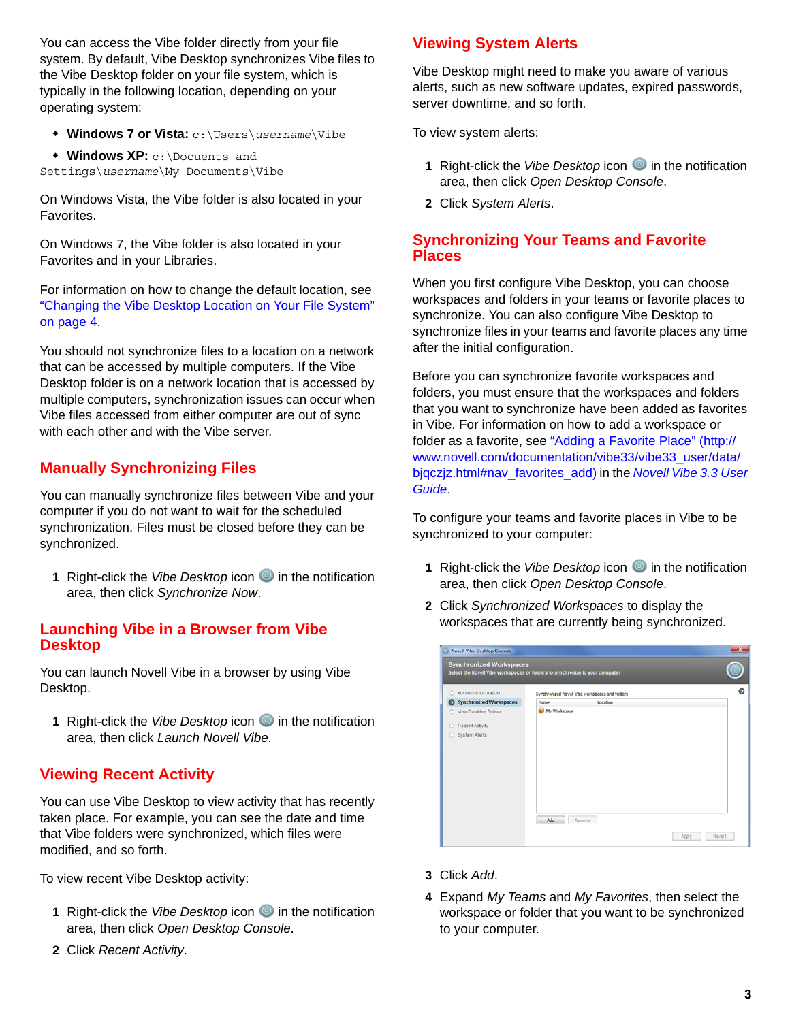You can access the Vibe folder directly from your file system. By default, Vibe Desktop synchronizes Vibe files to the Vibe Desktop folder on your file system, which is typically in the following location, depending on your operating system:

- **Windows 7 or Vista:** c:\Users\*username*\Vibe
- **Windows XP:** c:\Docuents and Settings\*username*\My Documents\Vibe

On Windows Vista, the Vibe folder is also located in your Favorites.

On Windows 7, the Vibe folder is also located in your Favorites and in your Libraries.

For information on how to change the default location, see ["Changing the Vibe Desktop Location on Your File System"](#page-3-1)  [on page 4](#page-3-1).

You should not synchronize files to a location on a network that can be accessed by multiple computers. If the Vibe Desktop folder is on a network location that is accessed by multiple computers, synchronization issues can occur when Vibe files accessed from either computer are out of sync with each other and with the Vibe server.

# <span id="page-2-0"></span>**Manually Synchronizing Files**

You can manually synchronize files between Vibe and your computer if you do not want to wait for the scheduled synchronization. Files must be closed before they can be synchronized.

**1** Right-click the *Vibe Desktop* icon **i**n the notification area, then click *Synchronize Now*.

## **Launching Vibe in a Browser from Vibe Desktop**

You can launch Novell Vibe in a browser by using Vibe Desktop.

**1** Right-click the *Vibe Desktop* icon **i**n the notification area, then click *Launch Novell Vibe*.

# **Viewing Recent Activity**

You can use Vibe Desktop to view activity that has recently taken place. For example, you can see the date and time that Vibe folders were synchronized, which files were modified, and so forth.

To view recent Vibe Desktop activity:

- **1** Right-click the *Vibe Desktop* icon **i**n the notification area, then click *Open Desktop Console*.
- **2** Click *Recent Activity*.

# **Viewing System Alerts**

Vibe Desktop might need to make you aware of various alerts, such as new software updates, expired passwords, server downtime, and so forth.

To view system alerts:

- **1** Right-click the *Vibe Desktop* icon **i**n the notification area, then click *Open Desktop Console*.
- **2** Click *System Alerts*.

## <span id="page-2-1"></span>**Synchronizing Your Teams and Favorite Places**

When you first configure Vibe Desktop, you can choose workspaces and folders in your teams or favorite places to synchronize. You can also configure Vibe Desktop to synchronize files in your teams and favorite places any time after the initial configuration.

Before you can synchronize favorite workspaces and folders, you must ensure that the workspaces and folders that you want to synchronize have been added as favorites in Vibe. For information on how to add a workspace or folder as a favorite, see "[Adding a Favorite Place](http://www.novell.com/documentation/vibe33/vibe33_user/data/bjqczjz.html#nav_favorites_add)" (http:// www.novell.com/documentation/vibe33/vibe33\_user/data/ bjqczjz.html#nav\_favorites\_add) in the *Novell Vibe 3.3 User Guide*.

To configure your teams and favorite places in Vibe to be synchronized to your computer:

- **1** Right-click the *Vibe Desktop* icon **i**n the notification area, then click *Open Desktop Console*.
- **2** Click *Synchronized Workspaces* to display the workspaces that are currently being synchronized.

| Account Information     |                     | Synchronized Novell Vibe workspaces and folders |  |
|-------------------------|---------------------|-------------------------------------------------|--|
| Synchronized Workspaces | Name                | Location                                        |  |
| O Vibe Desktop Folder   | <b>Ny Workspace</b> |                                                 |  |
| Recent Activity         |                     |                                                 |  |
| System Alerts           |                     |                                                 |  |
|                         |                     |                                                 |  |
|                         |                     |                                                 |  |
|                         |                     |                                                 |  |
|                         |                     |                                                 |  |
|                         |                     |                                                 |  |
|                         |                     |                                                 |  |
|                         |                     |                                                 |  |

- **3** Click *Add*.
- **4** Expand *My Teams* and *My Favorites*, then select the workspace or folder that you want to be synchronized to your computer.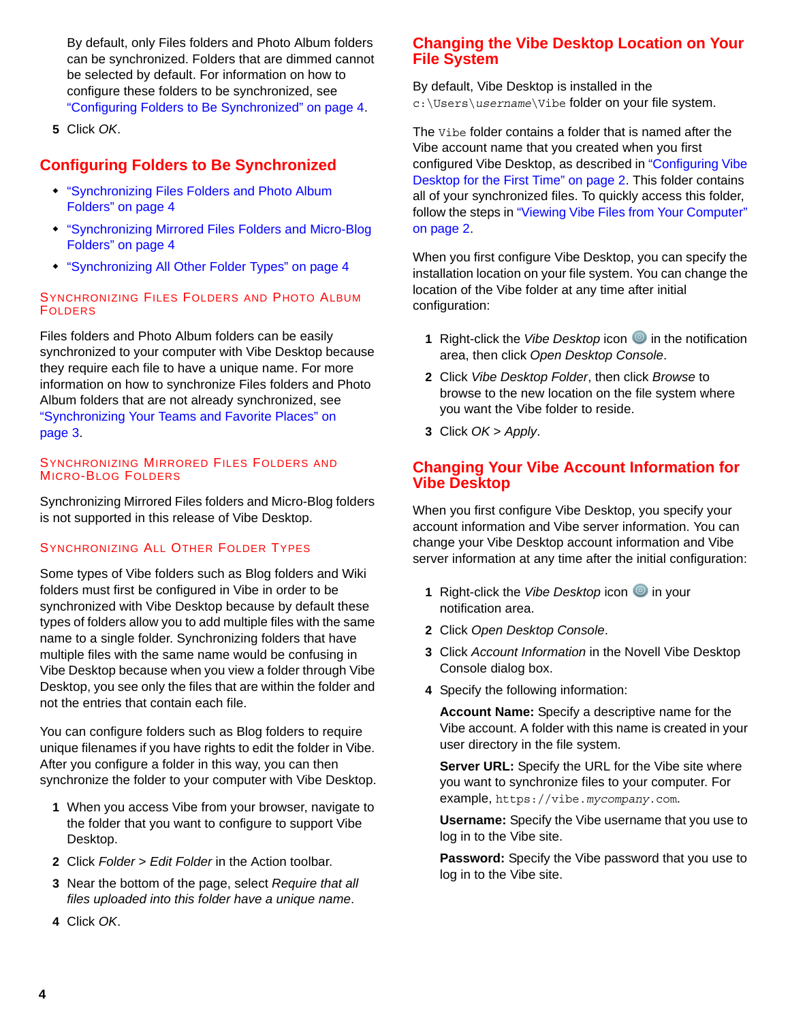By default, only Files folders and Photo Album folders can be synchronized. Folders that are dimmed cannot be selected by default. For information on how to configure these folders to be synchronized, see ["Configuring Folders to Be Synchronized" on page 4](#page-3-0).

**5** Click *OK*.

## <span id="page-3-0"></span>**Configuring Folders to Be Synchronized**

- ["Synchronizing Files Folders and Photo Album](#page-3-2)  [Folders" on page 4](#page-3-2)
- ["Synchronizing Mirrored Files Folders and Micro-Blog](#page-3-3)  [Folders" on page 4](#page-3-3)
- ["Synchronizing All Other Folder Types" on page 4](#page-3-4)

#### <span id="page-3-2"></span>SYNCHRONIZING FILES FOLDERS AND PHOTO ALBUM FOLDERS

Files folders and Photo Album folders can be easily synchronized to your computer with Vibe Desktop because they require each file to have a unique name. For more information on how to synchronize Files folders and Photo Album folders that are not already synchronized, see ["Synchronizing Your Teams and Favorite Places" on](#page-2-1)  [page 3](#page-2-1).

#### <span id="page-3-3"></span>SYNCHRONIZING MIRRORED FILES FOLDERS AND MICRO-BLOG FOLDERS

Synchronizing Mirrored Files folders and Micro-Blog folders is not supported in this release of Vibe Desktop.

#### <span id="page-3-4"></span>SYNCHRONIZING ALL OTHER FOLDER TYPES

Some types of Vibe folders such as Blog folders and Wiki folders must first be configured in Vibe in order to be synchronized with Vibe Desktop because by default these types of folders allow you to add multiple files with the same name to a single folder. Synchronizing folders that have multiple files with the same name would be confusing in Vibe Desktop because when you view a folder through Vibe Desktop, you see only the files that are within the folder and not the entries that contain each file.

You can configure folders such as Blog folders to require unique filenames if you have rights to edit the folder in Vibe. After you configure a folder in this way, you can then synchronize the folder to your computer with Vibe Desktop.

- **1** When you access Vibe from your browser, navigate to the folder that you want to configure to support Vibe Desktop.
- **2** Click *Folder* > *Edit Folder* in the Action toolbar.
- **3** Near the bottom of the page, select *Require that all files uploaded into this folder have a unique name*.

## <span id="page-3-1"></span>**Changing the Vibe Desktop Location on Your File System**

By default, Vibe Desktop is installed in the c:\Users\*username*\Vibe folder on your file system.

The Vibe folder contains a folder that is named after the Vibe account name that you created when you first configured Vibe Desktop, as described in ["Configuring Vibe](#page-1-0)  [Desktop for the First Time" on page 2](#page-1-0). This folder contains all of your synchronized files. To quickly access this folder, follow the steps in "Viewing Vibe Files from Your Computer" [on page 2](#page-1-1).

When you first configure Vibe Desktop, you can specify the installation location on your file system. You can change the location of the Vibe folder at any time after initial configuration:

- **1** Right-click the *Vibe Desktop* icon **O** in the notification area, then click *Open Desktop Console*.
- **2** Click *Vibe Desktop Folder*, then click *Browse* to browse to the new location on the file system where you want the Vibe folder to reside.
- **3** Click *OK* > *Apply*.

## **Changing Your Vibe Account Information for Vibe Desktop**

When you first configure Vibe Desktop, you specify your account information and Vibe server information. You can change your Vibe Desktop account information and Vibe server information at any time after the initial configuration:

- **1** Right-click the *Vibe Desktop* icon **i**n your notification area.
- **2** Click *Open Desktop Console*.
- **3** Click *Account Information* in the Novell Vibe Desktop Console dialog box.
- **4** Specify the following information:

**Account Name:** Specify a descriptive name for the Vibe account. A folder with this name is created in your user directory in the file system.

**Server URL:** Specify the URL for the Vibe site where you want to synchronize files to your computer. For example, https://vibe.*mycompany*.com.

**Username:** Specify the Vibe username that you use to log in to the Vibe site.

**Password:** Specify the Vibe password that you use to log in to the Vibe site.

**4** Click *OK*.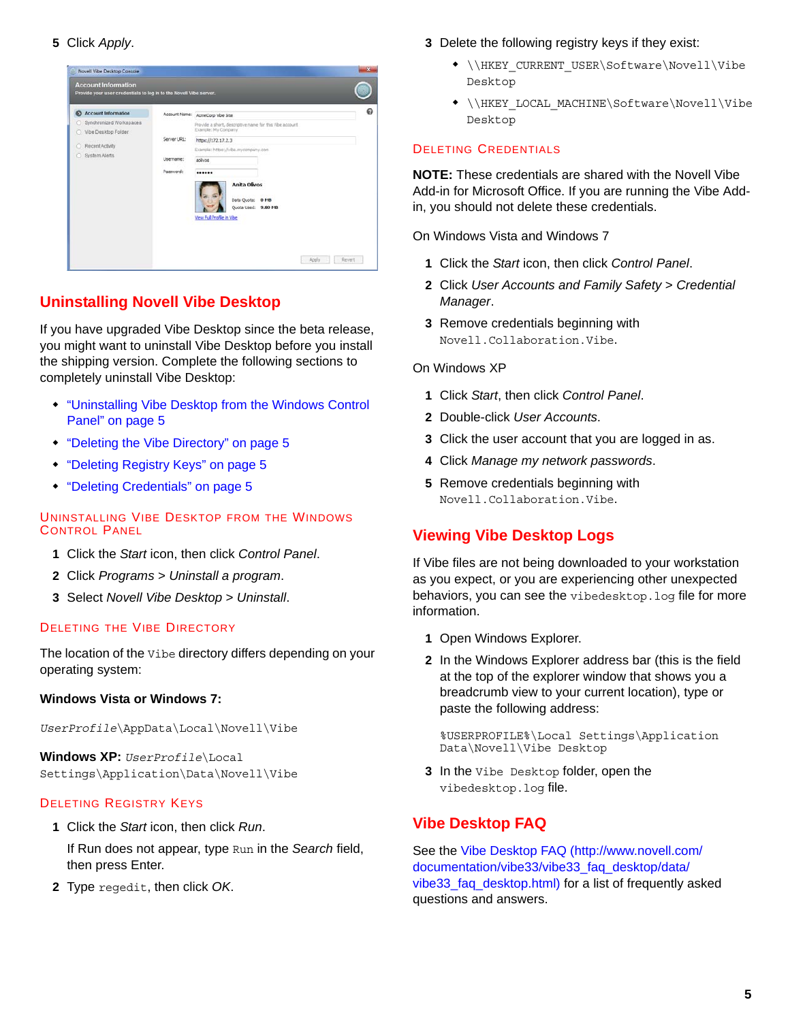

# **Uninstalling Novell Vibe Desktop**

If you have upgraded Vibe Desktop since the beta release, you might want to uninstall Vibe Desktop before you install the shipping version. Complete the following sections to completely uninstall Vibe Desktop:

- ["Uninstalling Vibe Desktop from the Windows Control](#page-4-1)  [Panel" on page 5](#page-4-1)
- ["Deleting the Vibe Directory" on page 5](#page-4-2)
- ["Deleting Registry Keys" on page 5](#page-4-3)
- ["Deleting Credentials" on page 5](#page-4-0)

#### <span id="page-4-1"></span>UNINSTALLING VIBE DESKTOP FROM THE WINDOWS CONTROL PANEL

- **1** Click the *Start* icon, then click *Control Panel*.
- **2** Click *Programs* > *Uninstall a program*.
- **3** Select *Novell Vibe Desktop* > *Uninstall*.

#### <span id="page-4-2"></span>DELETING THE VIBE DIRECTORY

The location of the Vibe directory differs depending on your operating system:

#### **Windows Vista or Windows 7:**

*UserProfile*\AppData\Local\Novell\Vibe

**Windows XP:** *UserProfile*\Local Settings\Application\Data\Novell\Vibe

#### <span id="page-4-3"></span>DELETING REGISTRY KEYS

- **1** Click the *Start* icon, then click *Run*.
	- If Run does not appear, type Run in the *Search* field, then press Enter.
- **2** Type regedit, then click *OK*.
- **3** Delete the following registry keys if they exist:
	- \\HKEY\_CURRENT\_USER\Software\Novell\Vibe Desktop
	- \\HKEY\_LOCAL\_MACHINE\Software\Novell\Vibe Desktop

#### <span id="page-4-0"></span>DELETING CREDENTIALS

**NOTE:** These credentials are shared with the Novell Vibe Add-in for Microsoft Office. If you are running the Vibe Addin, you should not delete these credentials.

On Windows Vista and Windows 7

- **1** Click the *Start* icon, then click *Control Panel*.
- **2** Click *User Accounts and Family Safety* > *Credential Manager*.
- **3** Remove credentials beginning with Novell.Collaboration.Vibe.
- On Windows XP
	- **1** Click *Start*, then click *Control Panel*.
	- **2** Double-click *User Accounts*.
	- **3** Click the user account that you are logged in as.
	- **4** Click *Manage my network passwords*.
	- **5** Remove credentials beginning with Novell.Collaboration.Vibe.

# **Viewing Vibe Desktop Logs**

If Vibe files are not being downloaded to your workstation as you expect, or you are experiencing other unexpected behaviors, you can see the vibedesktop.log file for more information.

- **1** Open Windows Explorer.
- **2** In the Windows Explorer address bar (this is the field at the top of the explorer window that shows you a breadcrumb view to your current location), type or paste the following address:

%USERPROFILE%\Local Settings\Application Data\Novell\Vibe Desktop

**3** In the Vibe Desktop folder, open the vibedesktop.log file.

# **Vibe Desktop FAQ**

See the [Vibe Desktop FAQ](http://www.novell.com/documentation/vibe33/vibe33_faq_desktop/data/vibe33_faq_desktop.html) (http://www.novell.com/ documentation/vibe33/vibe33\_faq\_desktop/data/ vibe33\_faq\_desktop.html) for a list of frequently asked questions and answers.